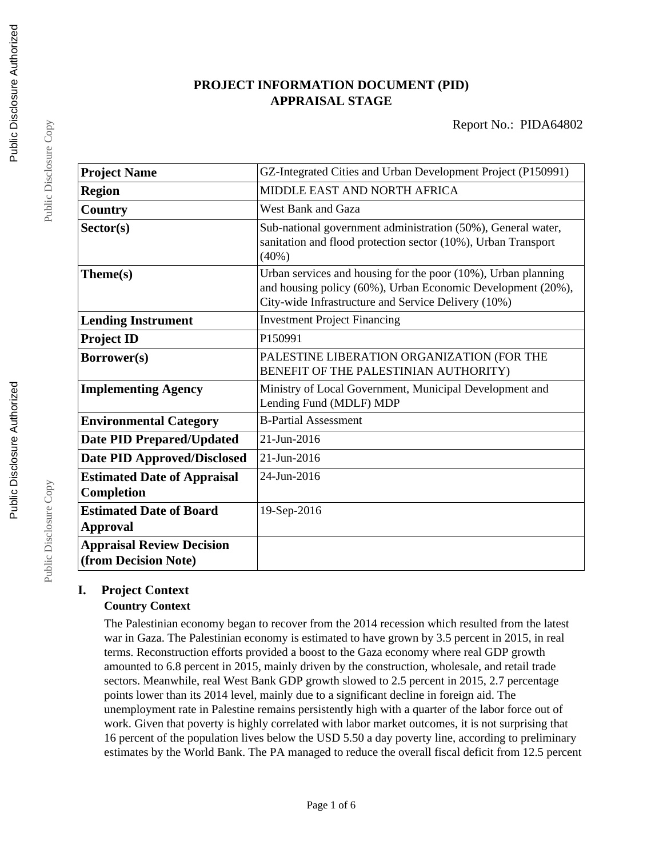## **PROJECT INFORMATION DOCUMENT (PID) APPRAISAL STAGE**

| <b>Project Name</b>                                      | GZ-Integrated Cities and Urban Development Project (P150991)                                                                                                                        |
|----------------------------------------------------------|-------------------------------------------------------------------------------------------------------------------------------------------------------------------------------------|
| <b>Region</b>                                            | MIDDLE EAST AND NORTH AFRICA                                                                                                                                                        |
| Country                                                  | <b>West Bank and Gaza</b>                                                                                                                                                           |
| Sector(s)                                                | Sub-national government administration (50%), General water,<br>sanitation and flood protection sector (10%), Urban Transport<br>$(40\%)$                                           |
| Theme(s)                                                 | Urban services and housing for the poor (10%), Urban planning<br>and housing policy (60%), Urban Economic Development (20%),<br>City-wide Infrastructure and Service Delivery (10%) |
| <b>Lending Instrument</b>                                | <b>Investment Project Financing</b>                                                                                                                                                 |
| <b>Project ID</b>                                        | P150991                                                                                                                                                                             |
| Borrower(s)                                              | PALESTINE LIBERATION ORGANIZATION (FOR THE<br>BENEFIT OF THE PALESTINIAN AUTHORITY)                                                                                                 |
| <b>Implementing Agency</b>                               | Ministry of Local Government, Municipal Development and<br>Lending Fund (MDLF) MDP                                                                                                  |
| <b>Environmental Category</b>                            | <b>B-Partial Assessment</b>                                                                                                                                                         |
| <b>Date PID Prepared/Updated</b>                         | 21-Jun-2016                                                                                                                                                                         |
| <b>Date PID Approved/Disclosed</b>                       | 21-Jun-2016                                                                                                                                                                         |
| <b>Estimated Date of Appraisal</b><br>Completion         | 24-Jun-2016                                                                                                                                                                         |
| <b>Estimated Date of Board</b><br><b>Approval</b>        | 19-Sep-2016                                                                                                                                                                         |
| <b>Appraisal Review Decision</b><br>(from Decision Note) |                                                                                                                                                                                     |

# **I. Project Context**

## **Country Context**

The Palestinian economy began to recover from the 2014 recession which resulted from the latest war in Gaza. The Palestinian economy is estimated to have grown by 3.5 percent in 2015, in real terms. Reconstruction efforts provided a boost to the Gaza economy where real GDP growth amounted to 6.8 percent in 2015, mainly driven by the construction, wholesale, and retail trade sectors. Meanwhile, real West Bank GDP growth slowed to 2.5 percent in 2015, 2.7 percentage points lower than its 2014 level, mainly due to a significant decline in foreign aid. The unemployment rate in Palestine remains persistently high with a quarter of the labor force out of work. Given that poverty is highly correlated with labor market outcomes, it is not surprising that 16 percent of the population lives below the USD 5.50 a day poverty line, according to preliminary estimates by the World Bank. The PA managed to reduce the overall fiscal deficit from 12.5 percent

Public Disclosure Copy

Public Disclosure Copy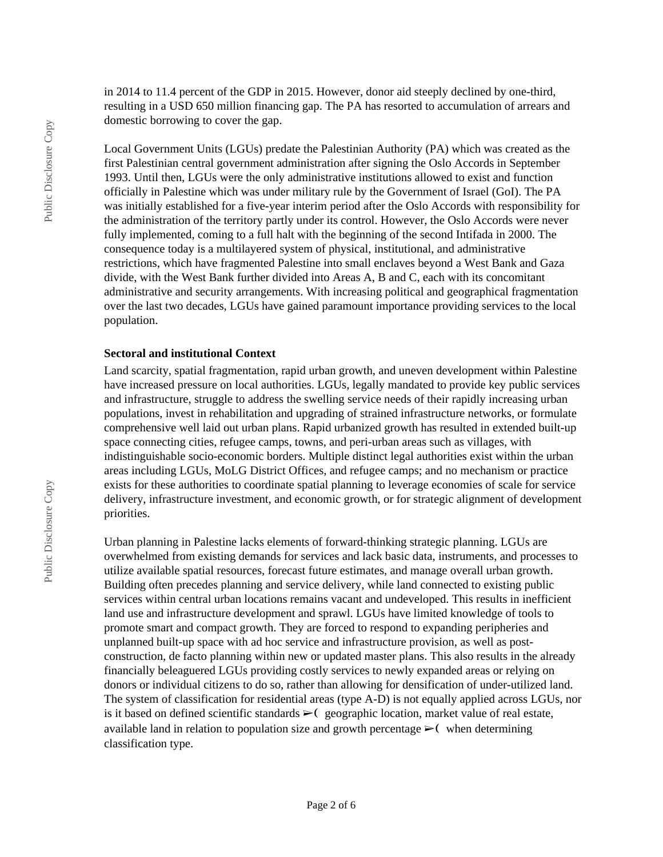in 2014 to 11.4 percent of the GDP in 2015. However, donor aid steeply declined by one-third, resulting in a USD 650 million financing gap. The PA has resorted to accumulation of arrears and domestic borrowing to cover the gap.

Local Government Units (LGUs) predate the Palestinian Authority (PA) which was created as the first Palestinian central government administration after signing the Oslo Accords in September 1993. Until then, LGUs were the only administrative institutions allowed to exist and function officially in Palestine which was under military rule by the Government of Israel (GoI). The PA was initially established for a five-year interim period after the Oslo Accords with responsibility for the administration of the territory partly under its control. However, the Oslo Accords were never fully implemented, coming to a full halt with the beginning of the second Intifada in 2000. The consequence today is a multilayered system of physical, institutional, and administrative restrictions, which have fragmented Palestine into small enclaves beyond a West Bank and Gaza divide, with the West Bank further divided into Areas A, B and C, each with its concomitant administrative and security arrangements. With increasing political and geographical fragmentation over the last two decades, LGUs have gained paramount importance providing services to the local population.

#### **Sectoral and institutional Context**

Land scarcity, spatial fragmentation, rapid urban growth, and uneven development within Palestine have increased pressure on local authorities. LGUs, legally mandated to provide key public services and infrastructure, struggle to address the swelling service needs of their rapidly increasing urban populations, invest in rehabilitation and upgrading of strained infrastructure networks, or formulate comprehensive well laid out urban plans. Rapid urbanized growth has resulted in extended built-up space connecting cities, refugee camps, towns, and peri-urban areas such as villages, with indistinguishable socio-economic borders. Multiple distinct legal authorities exist within the urban areas including LGUs, MoLG District Offices, and refugee camps; and no mechanism or practice exists for these authorities to coordinate spatial planning to leverage economies of scale for service delivery, infrastructure investment, and economic growth, or for strategic alignment of development priorities.

Urban planning in Palestine lacks elements of forward-thinking strategic planning. LGUs are overwhelmed from existing demands for services and lack basic data, instruments, and processes to utilize available spatial resources, forecast future estimates, and manage overall urban growth. Building often precedes planning and service delivery, while land connected to existing public services within central urban locations remains vacant and undeveloped. This results in inefficient land use and infrastructure development and sprawl. LGUs have limited knowledge of tools to promote smart and compact growth. They are forced to respond to expanding peripheries and unplanned built-up space with ad hoc service and infrastructure provision, as well as postconstruction, de facto planning within new or updated master plans. This also results in the already financially beleaguered LGUs providing costly services to newly expanded areas or relying on donors or individual citizens to do so, rather than allowing for densification of under-utilized land. The system of classification for residential areas (type A-D) is not equally applied across LGUs, nor is it based on defined scientific standards  $\triangleright$  (geographic location, market value of real estate, available land in relation to population size and growth percentage  $\geq$  (when determining classification type.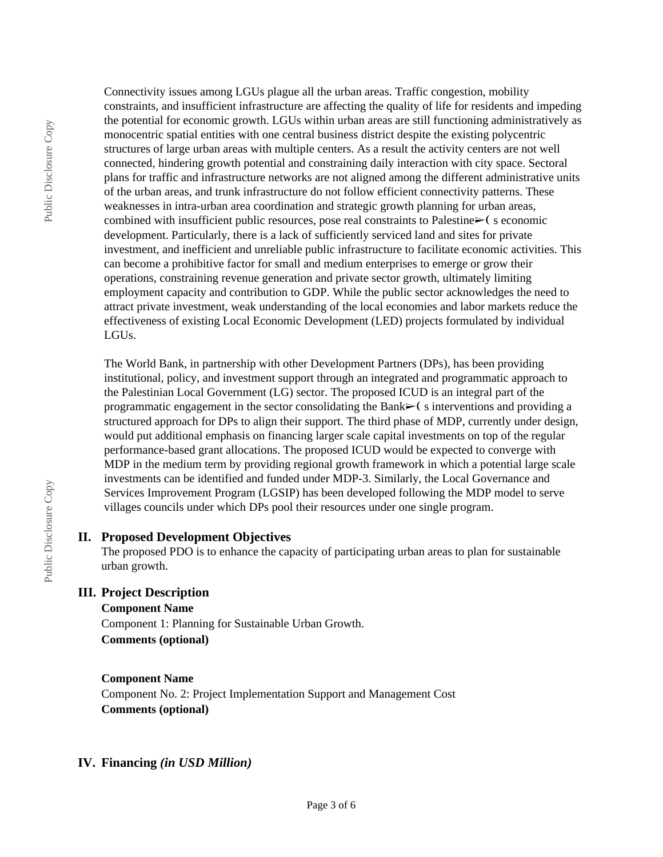Connectivity issues among LGUs plague all the urban areas. Traffic congestion, mobility constraints, and insufficient infrastructure are affecting the quality of life for residents and impeding the potential for economic growth. LGUs within urban areas are still functioning administratively as monocentric spatial entities with one central business district despite the existing polycentric structures of large urban areas with multiple centers. As a result the activity centers are not well connected, hindering growth potential and constraining daily interaction with city space. Sectoral plans for traffic and infrastructure networks are not aligned among the different administrative units of the urban areas, and trunk infrastructure do not follow efficient connectivity patterns. These weaknesses in intra-urban area coordination and strategic growth planning for urban areas, combined with insufficient public resources, pose real constraints to Palestine $\triangleright$  (seconomic development. Particularly, there is a lack of sufficiently serviced land and sites for private investment, and inefficient and unreliable public infrastructure to facilitate economic activities. This can become a prohibitive factor for small and medium enterprises to emerge or grow their operations, constraining revenue generation and private sector growth, ultimately limiting employment capacity and contribution to GDP. While the public sector acknowledges the need to attract private investment, weak understanding of the local economies and labor markets reduce the effectiveness of existing Local Economic Development (LED) projects formulated by individual LGUs.

The World Bank, in partnership with other Development Partners (DPs), has been providing institutional, policy, and investment support through an integrated and programmatic approach to the Palestinian Local Government (LG) sector. The proposed ICUD is an integral part of the programmatic engagement in the sector consolidating the Bank $\geq$  (s interventions and providing a structured approach for DPs to align their support. The third phase of MDP, currently under design, would put additional emphasis on financing larger scale capital investments on top of the regular performance-based grant allocations. The proposed ICUD would be expected to converge with MDP in the medium term by providing regional growth framework in which a potential large scale investments can be identified and funded under MDP-3. Similarly, the Local Governance and Services Improvement Program (LGSIP) has been developed following the MDP model to serve villages councils under which DPs pool their resources under one single program.

#### **II. Proposed Development Objectives**

The proposed PDO is to enhance the capacity of participating urban areas to plan for sustainable urban growth.

## **III. Project Description**

#### **Component Name**

Component 1: Planning for Sustainable Urban Growth. **Comments (optional)**

#### **Component Name**

Component No. 2: Project Implementation Support and Management Cost **Comments (optional)**

#### **IV. Financing** *(in USD Million)*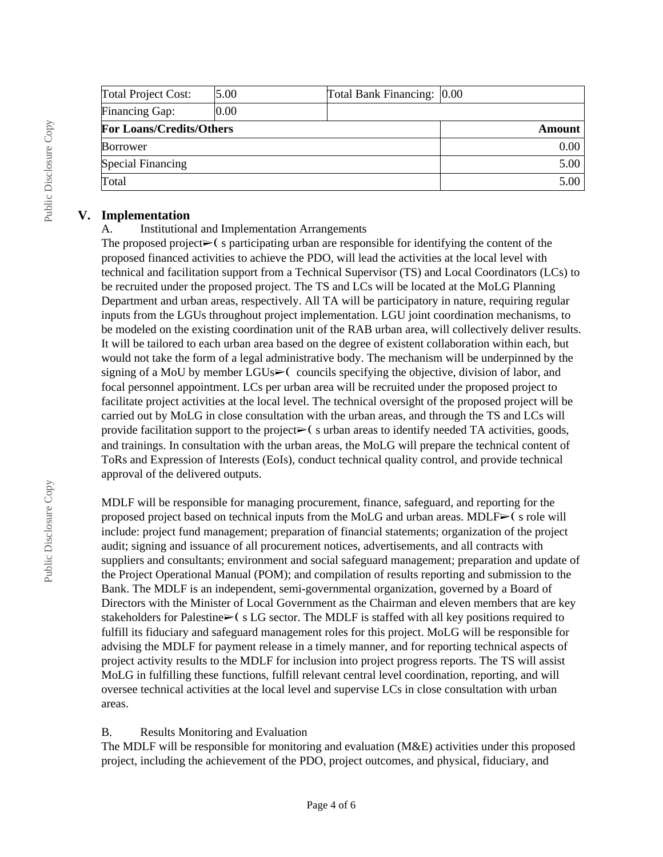| <b>Total Project Cost:</b>      | 5.00 | Total Bank Financing: 0.00 |             |
|---------------------------------|------|----------------------------|-------------|
| Financing Gap:                  | 0.00 |                            |             |
| <b>For Loans/Credits/Others</b> |      |                            | Amount      |
| <b>Borrower</b>                 |      |                            | $0.00\vert$ |
| Special Financing               |      |                            | 5.00        |
| Total                           |      |                            | 5.00        |

#### **V. Implementation**

#### A. Institutional and Implementation Arrangements

The proposed project $\triangleright$  (s participating urban are responsible for identifying the content of the proposed financed activities to achieve the PDO, will lead the activities at the local level with technical and facilitation support from a Technical Supervisor (TS) and Local Coordinators (LCs) to be recruited under the proposed project. The TS and LCs will be located at the MoLG Planning Department and urban areas, respectively. All TA will be participatory in nature, requiring regular inputs from the LGUs throughout project implementation. LGU joint coordination mechanisms, to be modeled on the existing coordination unit of the RAB urban area, will collectively deliver results. It will be tailored to each urban area based on the degree of existent collaboration within each, but would not take the form of a legal administrative body. The mechanism will be underpinned by the signing of a MoU by member  $LGUs \rightarrow$  councils specifying the objective, division of labor, and focal personnel appointment. LCs per urban area will be recruited under the proposed project to facilitate project activities at the local level. The technical oversight of the proposed project will be carried out by MoLG in close consultation with the urban areas, and through the TS and LCs will provide facilitation support to the project $\triangleright$  (surban areas to identify needed TA activities, goods, and trainings. In consultation with the urban areas, the MoLG will prepare the technical content of ToRs and Expression of Interests (EoIs), conduct technical quality control, and provide technical approval of the delivered outputs.

MDLF will be responsible for managing procurement, finance, safeguard, and reporting for the proposed project based on technical inputs from the MoLG and urban areas. MDLF $\triangleright$  (s role will include: project fund management; preparation of financial statements; organization of the project audit; signing and issuance of all procurement notices, advertisements, and all contracts with suppliers and consultants; environment and social safeguard management; preparation and update of the Project Operational Manual (POM); and compilation of results reporting and submission to the Bank. The MDLF is an independent, semi-governmental organization, governed by a Board of Directors with the Minister of Local Government as the Chairman and eleven members that are key stakeholders for Palestine► (s LG sector. The MDLF is staffed with all key positions required to fulfill its fiduciary and safeguard management roles for this project. MoLG will be responsible for advising the MDLF for payment release in a timely manner, and for reporting technical aspects of project activity results to the MDLF for inclusion into project progress reports. The TS will assist MoLG in fulfilling these functions, fulfill relevant central level coordination, reporting, and will oversee technical activities at the local level and supervise LCs in close consultation with urban areas.

#### B. Results Monitoring and Evaluation

The MDLF will be responsible for monitoring and evaluation (M&E) activities under this proposed project, including the achievement of the PDO, project outcomes, and physical, fiduciary, and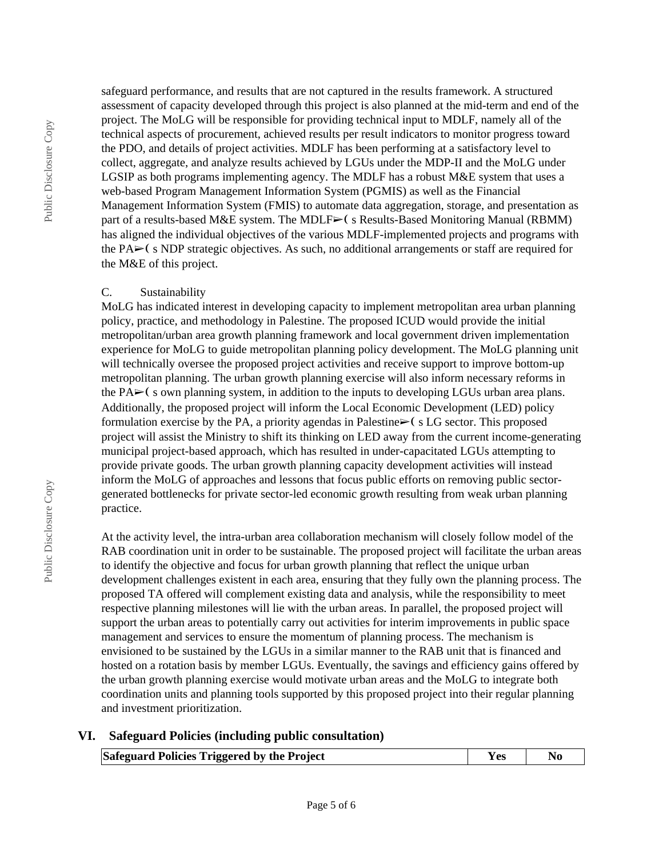Public Disclosure Copy

Public Disclosure Copy

safeguard performance, and results that are not captured in the results framework. A structured assessment of capacity developed through this project is also planned at the mid-term and end of the project. The MoLG will be responsible for providing technical input to MDLF, namely all of the technical aspects of procurement, achieved results per result indicators to monitor progress toward the PDO, and details of project activities. MDLF has been performing at a satisfactory level to collect, aggregate, and analyze results achieved by LGUs under the MDP-II and the MoLG under LGSIP as both programs implementing agency. The MDLF has a robust M&E system that uses a web-based Program Management Information System (PGMIS) as well as the Financial Management Information System (FMIS) to automate data aggregation, storage, and presentation as part of a results-based M&E system. The MDLF► (s Results-Based Monitoring Manual (RBMM) has aligned the individual objectives of the various MDLF-implemented projects and programs with the PA $\blacktriangleright$ ( s NDP strategic objectives. As such, no additional arrangements or staff are required for the M&E of this project.

#### C. Sustainability

MoLG has indicated interest in developing capacity to implement metropolitan area urban planning policy, practice, and methodology in Palestine. The proposed ICUD would provide the initial metropolitan/urban area growth planning framework and local government driven implementation experience for MoLG to guide metropolitan planning policy development. The MoLG planning unit will technically oversee the proposed project activities and receive support to improve bottom-up metropolitan planning. The urban growth planning exercise will also inform necessary reforms in the PA► (s own planning system, in addition to the inputs to developing LGUs urban area plans. Additionally, the proposed project will inform the Local Economic Development (LED) policy formulation exercise by the PA, a priority agendas in Palestine $\triangleright$  (s LG sector. This proposed project will assist the Ministry to shift its thinking on LED away from the current income-generating municipal project-based approach, which has resulted in under-capacitated LGUs attempting to provide private goods. The urban growth planning capacity development activities will instead inform the MoLG of approaches and lessons that focus public efforts on removing public sectorgenerated bottlenecks for private sector-led economic growth resulting from weak urban planning practice.

At the activity level, the intra-urban area collaboration mechanism will closely follow model of the RAB coordination unit in order to be sustainable. The proposed project will facilitate the urban areas to identify the objective and focus for urban growth planning that reflect the unique urban development challenges existent in each area, ensuring that they fully own the planning process. The proposed TA offered will complement existing data and analysis, while the responsibility to meet respective planning milestones will lie with the urban areas. In parallel, the proposed project will support the urban areas to potentially carry out activities for interim improvements in public space management and services to ensure the momentum of planning process. The mechanism is envisioned to be sustained by the LGUs in a similar manner to the RAB unit that is financed and hosted on a rotation basis by member LGUs. Eventually, the savings and efficiency gains offered by the urban growth planning exercise would motivate urban areas and the MoLG to integrate both coordination units and planning tools supported by this proposed project into their regular planning and investment prioritization.

#### **VI. Safeguard Policies (including public consultation)**

| Safeguard Policies Triggered by the Project | <b>Yes</b> | N <sub>0</sub> |  |
|---------------------------------------------|------------|----------------|--|
|---------------------------------------------|------------|----------------|--|